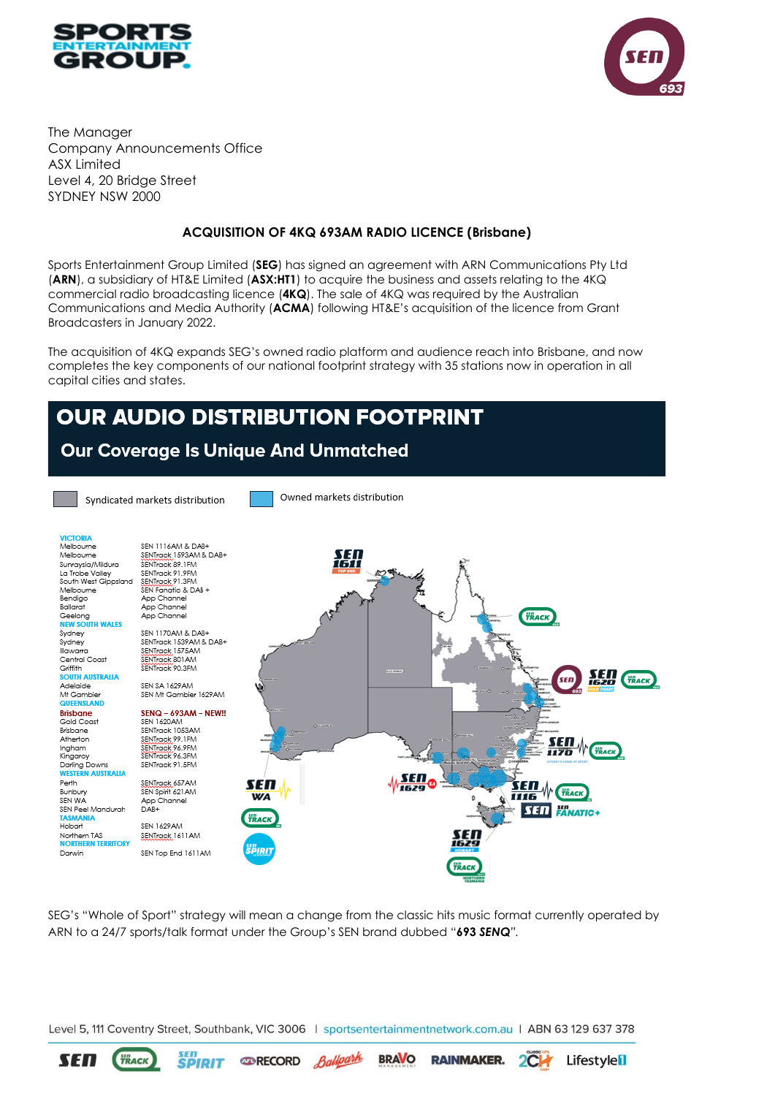



The Manager Company Announcements Office ASX Limited Level 4, 20 Bridge Street SYDNEY NSW 2000

## **ACQUISITION OF 4KQ 693AM RADIO LICENCE (Brisbane)**

Sports Entertainment Group Limited (**SEG**) has signed an agreement with ARN Communications Pty Ltd (**ARN**), a subsidiary of HT&E Limited (**ASX:HT1**) to acquire the business and assets relating to the 4KQ commercial radio broadcasting licence (**4KQ**). The sale of 4KQ was required by the Australian Communications and Media Authority (**ACMA**) following HT&E's acquisition of the licence from Grant Broadcasters in January 2022.

The acquisition of 4KQ expands SEG's owned radio platform and audience reach into Brisbane, and now completes the key components of our national footprint strategy with 35 stations now in operation in all capital cities and states.

## OUR AUDIO DISTRIBUTION FOOTPRINT

## Our Coverage Is Unique And Unmatched



SEG's "Whole of Sport" strategy will mean a change from the classic hits music format currently operated by ARN to a 24/7 sports/talk format under the Group's SEN brand dubbed "**693** *SENQ".*

Level 5, 111 Coventry Street, Southbank, VIC 3006 | sportsentertainmentnetwork.com.au | ABN 63 129 637 378

Ballpark

**EDRECORD** 

**BRAVO** 

**RAINMAKER.** 

 $2C$ 

**Lifestyle<sup>l</sup>l** 

sen<br>**SPIRIT** 

**SEN** 

**TRACK**